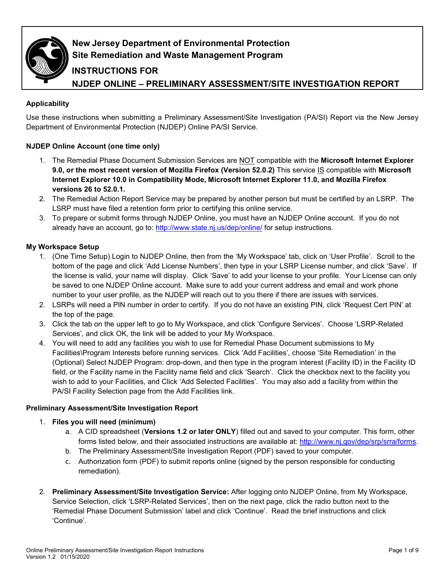

# **New Jersey Department of Environmental Protection Site Remediation and Waste Management Program**

## **INSTRUCTIONS FOR**

**NJDEP ONLINE – PRELIMINARY ASSESSMENT/SITE INVESTIGATION REPORT**

## **Applicability**

Use these instructions when submitting a Preliminary Assessment/Site Investigation (PA/SI) Report via the New Jersey Department of Environmental Protection (NJDEP) Online PA/SI Service.

## **NJDEP Online Account (one time only)**

- 1. The Remedial Phase Document Submission Services are NOT compatible with the **Microsoft Internet Explorer 9.0, or the most recent version of Mozilla Firefox (Version 52.0.2)** This service IS compatible with **Microsoft Internet Explorer 10.0 in Compatibility Mode, Microsoft Internet Explorer 11.0, and Mozilla Firefox versions 26 to 52.0.1.**
- 2. The Remedial Action Report Service may be prepared by another person but must be certified by an LSRP. The LSRP must have filed a retention form prior to certifying this online service.
- 3. To prepare or submit forms through NJDEP Online, you must have an NJDEP Online account. If you do not already have an account, go to:<http://www.state.nj.us/dep/online/> for setup instructions.

## **My Workspace Setup**

- 1. (One Time Setup) Login to NJDEP Online, then from the 'My Workspace' tab, click on 'User Profile'. Scroll to the bottom of the page and click 'Add License Numbers', then type in your LSRP License number, and click 'Save'. If the license is valid, your name will display. Click 'Save' to add your license to your profile. Your License can only be saved to one NJDEP Online account. Make sure to add your current address and email and work phone number to your user profile, as the NJDEP will reach out to you there if there are issues with services.
- 2. LSRPs will need a PIN number in order to certify. If you do not have an existing PIN, click 'Request Cert PIN' at the top of the page.
- 3. Click the tab on the upper left to go to My Workspace, and click 'Configure Services'. Choose 'LSRP-Related Services', and click OK, the link will be added to your My Workspace.
- 4. You will need to add any facilities you wish to use for Remedial Phase Document submissions to My Facilities\Program Interests before running services. Click 'Add Facilities', choose 'Site Remediation' in the (Optional) Select NJDEP Program: drop-down, and then type in the program interest (Facility ID) in the Facility ID field, or the Facility name in the Facility name field and click 'Search'. Click the checkbox next to the facility you wish to add to your Facilities, and Click 'Add Selected Facilities'. You may also add a facility from within the PA/SI Facility Selection page from the Add Facilities link.

## **Preliminary Assessment/Site Investigation Report**

## 1. **Files you will need (minimum)**

- a. A CID spreadsheet (**Versions 1.2 or later ONLY**) filled out and saved to your computer. This form, other forms listed below, and their associated instructions are available at: [http://www.nj.gov/dep/srp/srra/forms.](http://www.nj.gov/dep/srp/srra/forms)
- b. The Preliminary Assessment/Site Investigation Report (PDF) saved to your computer.
- c. Authorization form (PDF) to submit reports online (signed by the person responsible for conducting remediation).
- 2. **Preliminary Assessment/Site Investigation Service:** After logging onto NJDEP Online, from My Workspace, Service Selection, click 'LSRP-Related Services', then on the next page, click the radio button next to the 'Remedial Phase Document Submission' label and click 'Continue'. Read the brief instructions and click 'Continue'.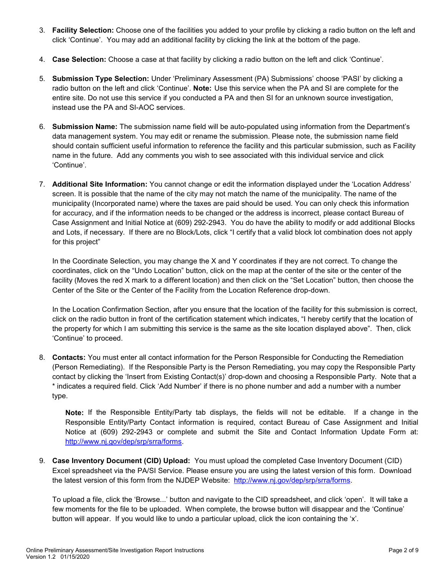- 3. **Facility Selection:** Choose one of the facilities you added to your profile by clicking a radio button on the left and click 'Continue'. You may add an additional facility by clicking the link at the bottom of the page.
- 4. **Case Selection:** Choose a case at that facility by clicking a radio button on the left and click 'Continue'.
- 5. **Submission Type Selection:** Under 'Preliminary Assessment (PA) Submissions' choose 'PASI' by clicking a radio button on the left and click 'Continue'. **Note:** Use this service when the PA and SI are complete for the entire site. Do not use this service if you conducted a PA and then SI for an unknown source investigation, instead use the PA and SI-AOC services.
- 6. **Submission Name:** The submission name field will be auto-populated using information from the Department's data management system. You may edit or rename the submission. Please note, the submission name field should contain sufficient useful information to reference the facility and this particular submission, such as Facility name in the future. Add any comments you wish to see associated with this individual service and click 'Continue'.
- 7. **Additional Site Information:** You cannot change or edit the information displayed under the 'Location Address' screen. It is possible that the name of the city may not match the name of the municipality. The name of the municipality (Incorporated name) where the taxes are paid should be used. You can only check this information for accuracy, and if the information needs to be changed or the address is incorrect, please contact Bureau of Case Assignment and Initial Notice at (609) 292-2943. You do have the ability to modify or add additional Blocks and Lots, if necessary. If there are no Block/Lots, click "I certify that a valid block lot combination does not apply for this project"

In the Coordinate Selection, you may change the X and Y coordinates if they are not correct. To change the coordinates, click on the "Undo Location" button, click on the map at the center of the site or the center of the facility (Moves the red X mark to a different location) and then click on the "Set Location" button, then choose the Center of the Site or the Center of the Facility from the Location Reference drop-down.

In the Location Confirmation Section, after you ensure that the location of the facility for this submission is correct, click on the radio button in front of the certification statement which indicates, "I hereby certify that the location of the property for which I am submitting this service is the same as the site location displayed above". Then, click 'Continue' to proceed.

8. **Contacts:** You must enter all contact information for the Person Responsible for Conducting the Remediation (Person Remediating). If the Responsible Party is the Person Remediating, you may copy the Responsible Party contact by clicking the 'Insert from Existing Contact(s)' drop-down and choosing a Responsible Party. Note that a \* indicates a required field. Click 'Add Number' if there is no phone number and add a number with a number type.

**Note:** If the Responsible Entity/Party tab displays, the fields will not be editable. If a change in the Responsible Entity/Party Contact information is required, contact Bureau of Case Assignment and Initial Notice at (609) 292-2943 or complete and submit the Site and Contact Information Update Form at: [http://www.nj.gov/dep/srp/srra/forms.](http://www.nj.gov/dep/srp/srra/forms)

9. **Case Inventory Document (CID) Upload:** You must upload the completed Case Inventory Document (CID) Excel spreadsheet via the PA/SI Service. Please ensure you are using the latest version of this form. Download the latest version of this form from the NJDEP Website: [http://www.nj.gov/dep/srp/srra/forms.](http://www.nj.gov/dep/srp/srra/forms)

To upload a file, click the 'Browse...' button and navigate to the CID spreadsheet, and click 'open'. It will take a few moments for the file to be uploaded. When complete, the browse button will disappear and the 'Continue' button will appear. If you would like to undo a particular upload, click the icon containing the 'x'.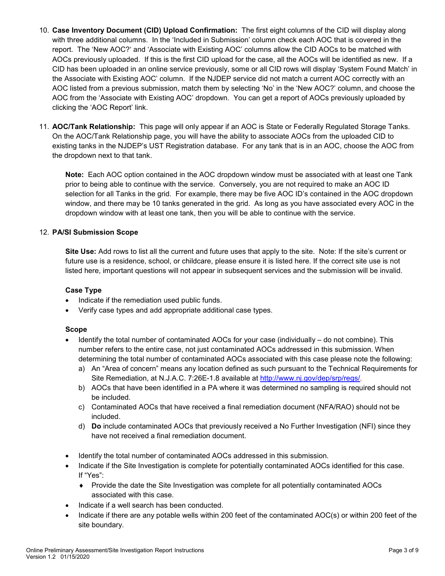- 10. **Case Inventory Document (CID) Upload Confirmation:** The first eight columns of the CID will display along with three additional columns. In the 'Included in Submission' column check each AOC that is covered in the report. The 'New AOC?' and 'Associate with Existing AOC' columns allow the CID AOCs to be matched with AOCs previously uploaded. If this is the first CID upload for the case, all the AOCs will be identified as new. If a CID has been uploaded in an online service previously, some or all CID rows will display 'System Found Match' in the Associate with Existing AOC' column. If the NJDEP service did not match a current AOC correctly with an AOC listed from a previous submission, match them by selecting 'No' in the 'New AOC?' column, and choose the AOC from the 'Associate with Existing AOC' dropdown. You can get a report of AOCs previously uploaded by clicking the 'AOC Report' link.
- 11. **AOC/Tank Relationship:** This page will only appear if an AOC is State or Federally Regulated Storage Tanks. On the AOC/Tank Relationship page, you will have the ability to associate AOCs from the uploaded CID to existing tanks in the NJDEP's UST Registration database. For any tank that is in an AOC, choose the AOC from the dropdown next to that tank.

**Note:** Each AOC option contained in the AOC dropdown window must be associated with at least one Tank prior to being able to continue with the service. Conversely, you are not required to make an AOC ID selection for all Tanks in the grid. For example, there may be five AOC ID's contained in the AOC dropdown window, and there may be 10 tanks generated in the grid. As long as you have associated every AOC in the dropdown window with at least one tank, then you will be able to continue with the service.

#### 12. **PA/SI Submission Scope**

**Site Use:** Add rows to list all the current and future uses that apply to the site. Note: If the site's current or future use is a residence, school, or childcare, please ensure it is listed here. If the correct site use is not listed here, important questions will not appear in subsequent services and the submission will be invalid.

#### **Case Type**

- Indicate if the remediation used public funds.
- Verify case types and add appropriate additional case types.

#### **Scope**

- Identify the total number of contaminated AOCs for your case (individually do not combine). This number refers to the entire case, not just contaminated AOCs addressed in this submission. When determining the total number of contaminated AOCs associated with this case please note the following:
	- a) An "Area of concern" means any location defined as such pursuant to the Technical Requirements for Site Remediation, at N.J.A.C. 7:26E-1.8 available at [http://www.nj.gov/dep/srp/regs/.](http://www.nj.gov/dep/srp/regs/)
	- b) AOCs that have been identified in a PA where it was determined no sampling is required should not be included.
	- c) Contaminated AOCs that have received a final remediation document (NFA/RAO) should not be included.
	- d) **Do** include contaminated AOCs that previously received a No Further Investigation (NFI) since they have not received a final remediation document.
- Identify the total number of contaminated AOCs addressed in this submission.
- Indicate if the Site Investigation is complete for potentially contaminated AOCs identified for this case. If "Yes":
	- ♦ Provide the date the Site Investigation was complete for all potentially contaminated AOCs associated with this case.
- Indicate if a well search has been conducted.
- Indicate if there are any potable wells within 200 feet of the contaminated AOC(s) or within 200 feet of the site boundary.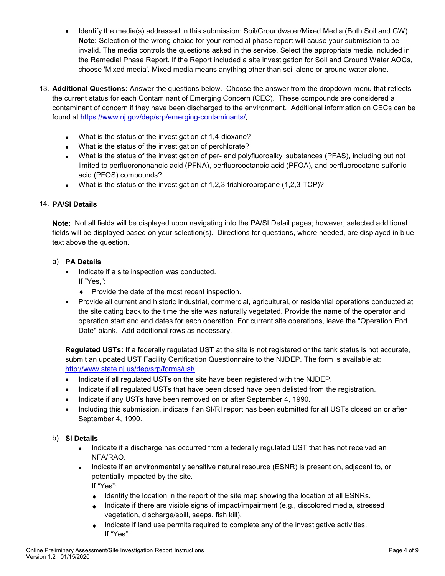- Identify the media(s) addressed in this submission: Soil/Groundwater/Mixed Media (Both Soil and GW) **Note:** Selection of the wrong choice for your remedial phase report will cause your submission to be invalid. The media controls the questions asked in the service. Select the appropriate media included in the Remedial Phase Report. If the Report included a site investigation for Soil and Ground Water AOCs, choose 'Mixed media'. Mixed media means anything other than soil alone or ground water alone.
- 13. **Additional Questions:** Answer the questions below. Choose the answer from the dropdown menu that reflects the current status for each Contaminant of Emerging Concern (CEC). These compounds are considered a contaminant of concern if they have been discharged to the environment. Additional information on CECs can be found at [https://www.nj.gov/dep/srp/emerging-contaminants/.](https://www.nj.gov/dep/srp/emerging-contaminants/)
	- What is the status of the investigation of 1,4-dioxane?
	- What is the status of the investigation of perchlorate?
	- What is the status of the investigation of per- and polyfluoroalkyl substances (PFAS), including but not limited to perfluorononanoic acid (PFNA), perfluorooctanoic acid (PFOA), and perfluorooctane sulfonic acid (PFOS) compounds?
	- What is the status of the investigation of  $1,2,3$ -trichloropropane  $(1,2,3$ -TCP $)$ ?

#### 14. **PA/SI Details**

**Note:** Not all fields will be displayed upon navigating into the PA/SI Detail pages; however, selected additional fields will be displayed based on your selection(s). Directions for questions, where needed, are displayed in blue text above the question.

#### a) **PA Details**

- Indicate if a site inspection was conducted. If "Yes,":
	- ♦ Provide the date of the most recent inspection.
- Provide all current and historic industrial, commercial, agricultural, or residential operations conducted at the site dating back to the time the site was naturally vegetated. Provide the name of the operator and operation start and end dates for each operation. For current site operations, leave the "Operation End Date" blank. Add additional rows as necessary.

**Regulated USTs:** If a federally regulated UST at the site is not registered or the tank status is not accurate, submit an updated UST Facility Certification Questionnaire to the NJDEP. The form is available at: [http://www.state.nj.us/dep/srp/forms/ust/.](http://www.state.nj.us/dep/srp/forms/ust/)

- Indicate if all regulated USTs on the site have been registered with the NJDEP.
- Indicate if all regulated USTs that have been closed have been delisted from the registration.
- Indicate if any USTs have been removed on or after September 4, 1990.
- Including this submission, indicate if an SI/RI report has been submitted for all USTs closed on or after September 4, 1990.

#### b) **SI Details**

- Indicate if a discharge has occurred from a federally regulated UST that has not received an NFA/RAO.
- Indicate if an environmentally sensitive natural resource (ESNR) is present on, adjacent to, or potentially impacted by the site.

If "Yes":

- ♦ Identify the location in the report of the site map showing the location of all ESNRs.
- ♦ Indicate if there are visible signs of impact/impairment (e.g., discolored media, stressed vegetation, discharge/spill, seeps, fish kill).
- ♦ Indicate if land use permits required to complete any of the investigative activities. If "Yes":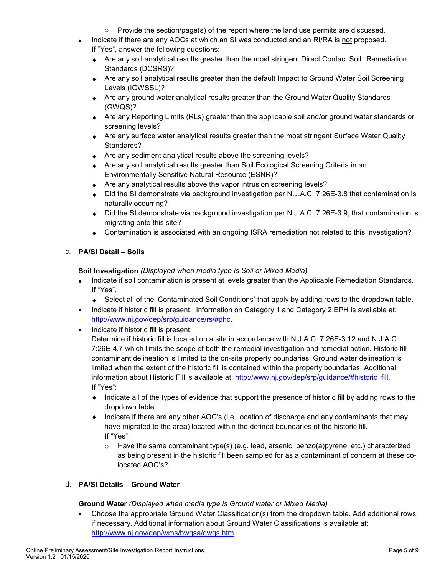- $\circ$  Provide the section/page(s) of the report where the land use permits are discussed.
- Indicate if there are any AOCs at which an SI was conducted and an RI/RA is not proposed.
	- If "Yes", answer the following questions:
	- ♦ Are any soil analytical results greater than the most stringent Direct Contact Soil Remediation Standards (DCSRS)?
	- ◆ Are any soil analytical results greater than the default Impact to Ground Water Soil Screening Levels (IGWSSL)?
	- ♦ Are any ground water analytical results greater than the Ground Water Quality Standards (GWQS)?
	- ♦ Are any Reporting Limits (RLs) greater than the applicable soil and/or ground water standards or screening levels?
	- ♦ Are any surface water analytical results greater than the most stringent Surface Water Quality Standards?
	- ♦ Are any sediment analytical results above the screening levels?
	- ♦ Are any soil analytical results greater than Soil Ecological Screening Criteria in an Environmentally Sensitive Natural Resource (ESNR)?
	- Are any analytical results above the vapor intrusion screening levels?
	- ♦ Did the SI demonstrate via background investigation per N.J.A.C. 7:26E-3.8 that contamination is naturally occurring?
	- ♦ Did the SI demonstrate via background investigation per N.J.A.C. 7:26E-3.9, that contamination is migrating onto this site?
	- ♦ Contamination is associated with an ongoing ISRA remediation not related to this investigation?

#### c. **PA/SI Detail – Soils**

**Soil Investigation** *(Displayed when media type is Soil or Mixed Media)*

- Indicate if soil contamination is present at levels greater than the Applicable Remediation Standards. If "Yes",
	- ◆ Select all of the 'Contaminated Soil Conditions' that apply by adding rows to the dropdown table.
- Indicate if historic fill is present. Information on Category 1 and Category 2 EPH is available at: [http://www.nj.gov/dep/srp/guidance/rs/#phc.](http://www.nj.gov/dep/srp/guidance/rs/#phc)
- Indicate if historic fill is present. Determine if historic fill is located on a site in accordance with N.J.A.C. 7:26E-3.12 and N.J.A.C. 7:26E-4.7 which limits the scope of both the remedial investigation and remedial action. Historic fill contaminant delineation is limited to the on-site property boundaries. Ground water delineation is limited when the extent of the historic fill is contained within the property boundaries. Additional information about Historic Fill is available at: [http://www.nj.gov/dep/srp/guidance/#historic\\_fill.](http://www.nj.gov/dep/srp/guidance/#historic_fill)

If "Yes":

- ♦ Indicate all of the types of evidence that support the presence of historic fill by adding rows to the dropdown table.
- ♦ Indicate if there are any other AOC's (i.e. location of discharge and any contaminants that may have migrated to the area) located within the defined boundaries of the historic fill. If "Yes":
	- $\circ$  Have the same contaminant type(s) (e.g. lead, arsenic, benzo(a)pyrene, etc.) characterized as being present in the historic fill been sampled for as a contaminant of concern at these colocated AOC's?

## d. **PA/SI Details – Ground Water**

#### **Ground Water** *(Displayed when media type is Ground water or Mixed Media)*

• Choose the appropriate Ground Water Classification(s) from the dropdown table. Add additional rows if necessary. Additional information about Ground Water Classifications is available at: [http://www.nj.gov/dep/wms/bwqsa/gwqs.htm.](http://www.nj.gov/dep/wms/bwqsa/gwqs.htm)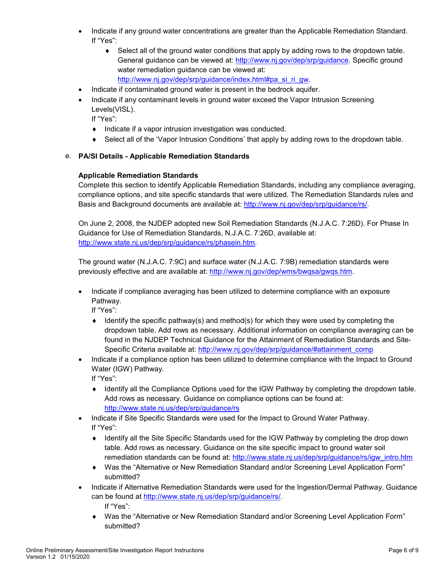- Indicate if any ground water concentrations are greater than the Applicable Remediation Standard. If "Yes":
	- ◆ Select all of the ground water conditions that apply by adding rows to the dropdown table. General guidance can be viewed at: [http://www.nj.gov/dep/srp/guidance.](http://www.nj.gov/dep/srp/guidance) Specific ground water remediation guidance can be viewed at: [http://www.nj.gov/dep/srp/guidance/index.html#pa\\_si\\_ri\\_gw.](http://www.nj.gov/dep/srp/guidance/index.html#pa_si_ri_gw)
- Indicate if contaminated ground water is present in the bedrock aquifer.
- Indicate if any contaminant levels in ground water exceed the Vapor Intrusion Screening Levels(VISL).

If "Yes":

- ♦ Indicate if a vapor intrusion investigation was conducted.
- ♦ Select all of the 'Vapor Intrusion Conditions' that apply by adding rows to the dropdown table.

#### e. **PA/SI Details - Applicable Remediation Standards**

#### **Applicable Remediation Standards**

Complete this section to identify Applicable Remediation Standards, including any compliance averaging, compliance options, and site specific standards that were utilized. The Remediation Standards rules and Basis and Background documents are available at: [http://www.nj.gov/dep/srp/guidance/rs/.](http://www.nj.gov/dep/srp/guidance/rs/)

On June 2, 2008, the NJDEP adopted new Soil Remediation Standards (N.J.A.C. 7:26D). For Phase In Guidance for Use of Remediation Standards, N.J.A.C. 7:26D, available at: [http://www.state.nj.us/dep/srp/guidance/rs/phasein.htm.](http://www.state.nj.us/dep/srp/guidance/rs/phasein.htm)

The ground water (N.J.A.C. 7:9C) and surface water (N.J.A.C. 7:9B) remediation standards were previously effective and are available at: [http://www.nj.gov/dep/wms/bwqsa/gwqs.htm.](http://www.nj.gov/dep/wms/bwqsa/gwqs.htm)

• Indicate if compliance averaging has been utilized to determine compliance with an exposure Pathway.

If "Yes":

- $\bullet$  Identify the specific pathway(s) and method(s) for which they were used by completing the dropdown table. Add rows as necessary. Additional information on compliance averaging can be found in the NJDEP Technical Guidance for the Attainment of Remediation Standards and Site-Specific Criteria available at: [http://www.nj.gov/dep/srp/guidance/#attainment\\_comp](http://www.nj.gov/dep/srp/guidance/#attainment_comp)
- Indicate if a compliance option has been utilized to determine compliance with the Impact to Ground Water (IGW) Pathway.

If "Yes":

- ♦ Identify all the Compliance Options used for the IGW Pathway by completing the dropdown table. Add rows as necessary. Guidance on compliance options can be found at: <http://www.state.nj.us/dep/srp/guidance/rs>
- Indicate if Site Specific Standards were used for the Impact to Ground Water Pathway. If "Yes":
	- ♦ Identify all the Site Specific Standards used for the IGW Pathway by completing the drop down table. Add rows as necessary. Guidance on the site specific impact to ground water soil remediation standards can be found at: [http://www.state.nj.us/dep/srp/guidance/rs/igw\\_intro.htm](http://www.state.nj.us/dep/srp/guidance/rs/igw_intro.htm)
	- ♦ Was the "Alternative or New Remediation Standard and/or Screening Level Application Form" submitted?
- Indicate if Alternative Remediation Standards were used for the Ingestion/Dermal Pathway. Guidance can be found at [http://www.state.nj.us/dep/srp/guidance/rs/.](http://www.state.nj.us/dep/srp/guidance/rs/) If "Yes":
	- Was the "Alternative or New Remediation Standard and/or Screening Level Application Form" submitted?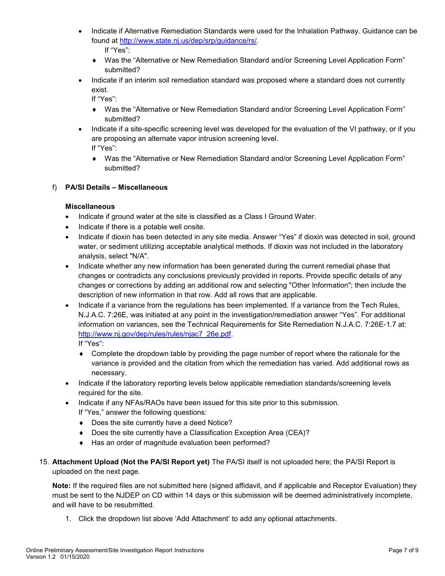- Indicate if Alternative Remediation Standards were used for the Inhalation Pathway. Guidance can be found at [http://www.state.nj.us/dep/srp/guidance/rs/.](http://www.state.nj.us/dep/srp/guidance/rs/) If "Yes":
	- ♦ Was the "Alternative or New Remediation Standard and/or Screening Level Application Form" submitted?
- Indicate if an interim soil remediation standard was proposed where a standard does not currently exist.

If "Yes":

- ♦ Was the "Alternative or New Remediation Standard and/or Screening Level Application Form" submitted?
- Indicate if a site-specific screening level was developed for the evaluation of the VI pathway, or if you are proposing an alternate vapor intrusion screening level.

If "Yes":

♦ Was the "Alternative or New Remediation Standard and/or Screening Level Application Form" submitted?

## f) **PA/SI Details – Miscellaneous**

#### **Miscellaneous**

- Indicate if ground water at the site is classified as a Class I Ground Water.
- Indicate if there is a potable well onsite.
- Indicate if dioxin has been detected in any site media. Answer "Yes" if dioxin was detected in soil, ground water, or sediment utilizing acceptable analytical methods. If dioxin was not included in the laboratory analysis, select "N/A".
- Indicate whether any new information has been generated during the current remedial phase that changes or contradicts any conclusions previously provided in reports. Provide specific details of any changes or corrections by adding an additional row and selecting "Other Information"; then include the description of new information in that row. Add all rows that are applicable.
- Indicate if a variance from the regulations has been implemented. If a variance from the Tech Rules, N.J.A.C. 7:26E, was initiated at any point in the investigation/remediation answer "Yes". For additional information on variances, see the Technical Requirements for Site Remediation N.J.A.C. 7:26E-1.7 at: [http://www.nj.gov/dep/rules/rules/njac7\\_26e.pdf.](http://www.nj.gov/dep/rules/rules/njac7_26e.pdf)

If "Yes":

- ♦ Complete the dropdown table by providing the page number of report where the rationale for the variance is provided and the citation from which the remediation has varied. Add additional rows as necessary.
- Indicate if the laboratory reporting levels below applicable remediation standards/screening levels required for the site.
- Indicate if any NFAs/RAOs have been issued for this site prior to this submission.
	- If "Yes," answer the following questions:
	- ♦ Does the site currently have a deed Notice?
	- ♦ Does the site currently have a Classification Exception Area (CEA)?
	- ♦ Has an order of magnitude evaluation been performed?
- 15. **Attachment Upload (Not the PA/SI Report yet)** The PA/SI itself is not uploaded here; the PA/SI Report is uploaded on the next page.

**Note:** If the required files are not submitted here (signed affidavit, and if applicable and Receptor Evaluation) they must be sent to the NJDEP on CD within 14 days or this submission will be deemed administratively incomplete, and will have to be resubmitted.

1. Click the dropdown list above 'Add Attachment' to add any optional attachments.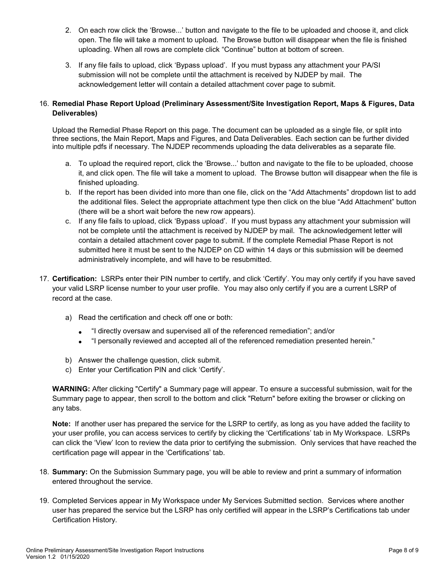- 2. On each row click the 'Browse...' button and navigate to the file to be uploaded and choose it, and click open. The file will take a moment to upload. The Browse button will disappear when the file is finished uploading. When all rows are complete click "Continue" button at bottom of screen.
- 3. If any file fails to upload, click 'Bypass upload'. If you must bypass any attachment your PA/SI submission will not be complete until the attachment is received by NJDEP by mail. The acknowledgement letter will contain a detailed attachment cover page to submit.

#### 16. **Remedial Phase Report Upload (Preliminary Assessment/Site Investigation Report, Maps & Figures, Data Deliverables)**

Upload the Remedial Phase Report on this page. The document can be uploaded as a single file, or split into three sections, the Main Report, Maps and Figures, and Data Deliverables. Each section can be further divided into multiple pdfs if necessary. The NJDEP recommends uploading the data deliverables as a separate file.

- a. To upload the required report, click the 'Browse...' button and navigate to the file to be uploaded, choose it, and click open. The file will take a moment to upload. The Browse button will disappear when the file is finished uploading.
- b. If the report has been divided into more than one file, click on the "Add Attachments" dropdown list to add the additional files. Select the appropriate attachment type then click on the blue "Add Attachment" button (there will be a short wait before the new row appears).
- c. If any file fails to upload, click 'Bypass upload'. If you must bypass any attachment your submission will not be complete until the attachment is received by NJDEP by mail. The acknowledgement letter will contain a detailed attachment cover page to submit. If the complete Remedial Phase Report is not submitted here it must be sent to the NJDEP on CD within 14 days or this submission will be deemed administratively incomplete, and will have to be resubmitted.
- 17. **Certification:** LSRPs enter their PIN number to certify, and click 'Certify'. You may only certify if you have saved your valid LSRP license number to your user profile. You may also only certify if you are a current LSRP of record at the case.
	- a) Read the certification and check off one or both:
		- "I directly oversaw and supervised all of the referenced remediation"; and/or
		- "I personally reviewed and accepted all of the referenced remediation presented herein."
	- b) Answer the challenge question, click submit.
	- c) Enter your Certification PIN and click 'Certify'.

**WARNING:** After clicking "Certify" a Summary page will appear. To ensure a successful submission, wait for the Summary page to appear, then scroll to the bottom and click "Return" before exiting the browser or clicking on any tabs.

**Note:** If another user has prepared the service for the LSRP to certify, as long as you have added the facility to your user profile, you can access services to certify by clicking the 'Certifications' tab in My Workspace. LSRPs can click the 'View' Icon to review the data prior to certifying the submission. Only services that have reached the certification page will appear in the 'Certifications' tab.

- 18. **Summary:** On the Submission Summary page, you will be able to review and print a summary of information entered throughout the service.
- 19. Completed Services appear in My Workspace under My Services Submitted section. Services where another user has prepared the service but the LSRP has only certified will appear in the LSRP's Certifications tab under Certification History.